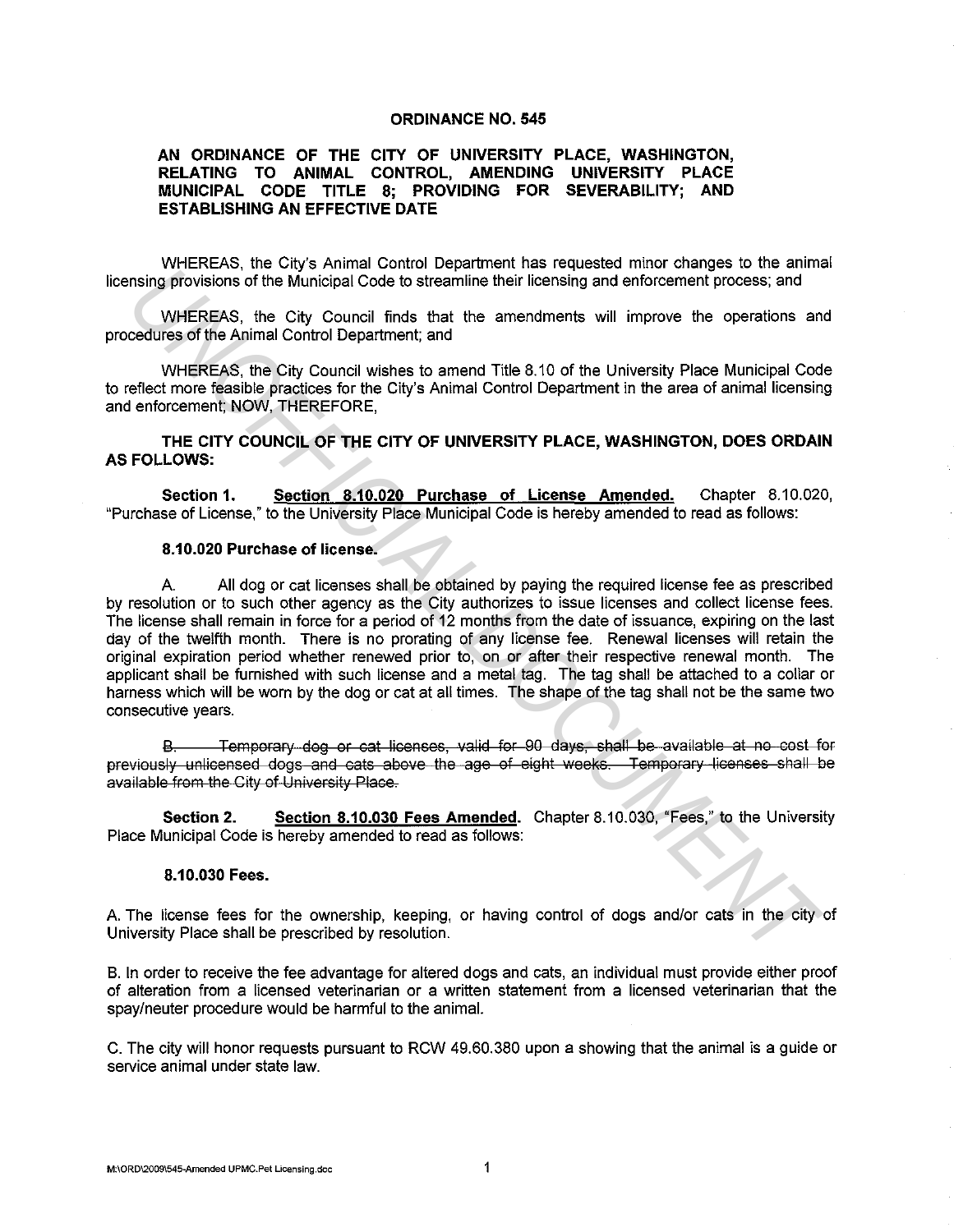## **ORDINANCE NO. 545**

## **AN ORDINANCE OF THE CITY OF UNIVERSITY PLACE, WASHINGTON, RELATING TO ANIMAL CONTROL, AMENDING UNIVERSITY PLACE MUNICIPAL CODE TITLE 8; PROVIDING FOR SEVERABILITY; AND ESTABLISHING AN EFFECTIVE DATE**

WHEREAS, the City's Animal Control Department has requested minor changes to the animal licensing provisions of the Municipal Code to streamline their licensing and enforcement process; and

WHEREAS, the City Council finds that the amendments will improve the operations and procedures of the Animal Control Department; and

WHEREAS, the City Council wishes to amend Title 8.10 of the University Place Municipal Code to reflect more feasible practices for the City's Animal Control Department in the area of animal licensing and enforcement; NOW, THEREFORE,

**THE CITY COUNCIL OF THE CITY OF UNIVERSITY PLACE, WASHINGTON, DOES ORDAIN AS FOLLOWS:** 

**Section 1. Section 8.10.020 Purchase of License Amended.** Chapter 8.10.020, "Purchase of License," to the University Place Municipal Code is hereby amended to read as follows:

## **8.10.020 Purchase of license.**

A. All dog or cat licenses shall be obtained by paying the required license fee as prescribed by resolution or to such other agency as the City authorizes to issue licenses and collect license fees. The license shall remain in force for a period of 12 months from the date of issuance, expiring on the last day of the twelfth month. There is no prorating of any license fee. Renewal licenses will retain the original expiration period whether renewed prior to, on or after their respective renewal month. The applicant shall be furnished with such license and a metal tag. The tag shall be attached to a collar or harness which will be worn by the dog or cat at all times. The shape of the tag shall not be the same two consecutive years. minimal provisions of the Municipal Code to streamline their licensing and enforcement process; and<br>
WHEREAS, the City Council finds that the amendments will improve the operations and<br>
WHEREAS, the City Council when to ar

B. Temporary dog or cat licenses, valid for 90 days, shall be available at no cost for previously unlicensed dogs and cats above the age of eight weeks. Temporary licenses shall be available from the City of University Place.

**Section 2. Section 8.10.030 Fees Amended.** Chapter 8.10.030, "Fees," to the University Place Municipal Code is hereby amended to read as follows:

## **8.10.030 Fees.**

A. The license fees for the ownership, keeping, or having control of dogs and/or cats in the city of University Place shall be prescribed by resolution.

B. In order to receive the fee advantage for altered dogs and cats, an individual must provide either proof of alteration from a licensed veterinarian or a written statement from a licensed veterinarian that the spay/neuter procedure would be harmful to the animal.

C. The city will honor requests pursuant to RCW 49.60.380 upon a showing that the animal is a guide or service animal under state law.